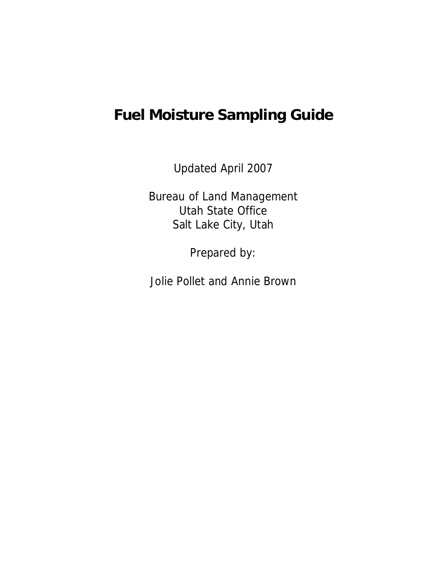# **Fuel Moisture Sampling Guide**

Updated April 2007

Bureau of Land Management Utah State Office Salt Lake City, Utah

Prepared by:

Jolie Pollet and Annie Brown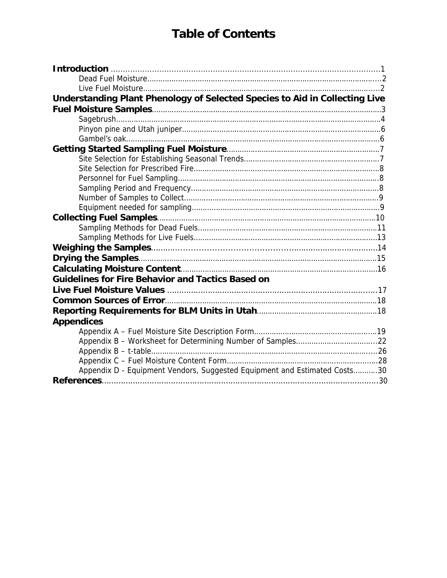# **Table of Contents**

| Understanding Plant Phenology of Selected Species to Aid in Collecting Live |  |
|-----------------------------------------------------------------------------|--|
|                                                                             |  |
|                                                                             |  |
|                                                                             |  |
|                                                                             |  |
|                                                                             |  |
|                                                                             |  |
|                                                                             |  |
|                                                                             |  |
|                                                                             |  |
|                                                                             |  |
|                                                                             |  |
|                                                                             |  |
|                                                                             |  |
|                                                                             |  |
|                                                                             |  |
|                                                                             |  |
|                                                                             |  |
| <b>Guidelines for Fire Behavior and Tactics Based on</b>                    |  |
|                                                                             |  |
|                                                                             |  |
|                                                                             |  |
|                                                                             |  |
| <b>Appendices</b>                                                           |  |
|                                                                             |  |
|                                                                             |  |
|                                                                             |  |
|                                                                             |  |
| Appendix D - Equipment Vendors, Suggested Equipment and Estimated Costs30   |  |
|                                                                             |  |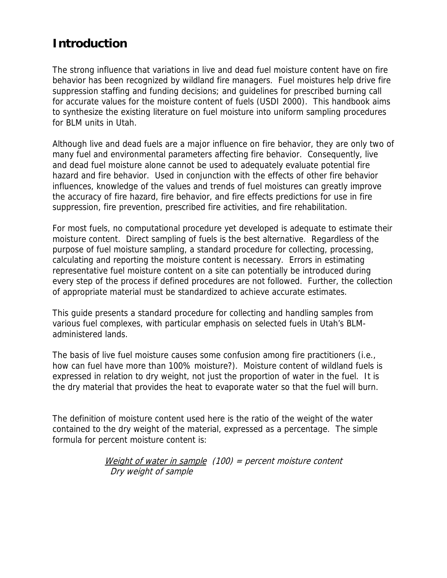## **Introduction**

The strong influence that variations in live and dead fuel moisture content have on fire behavior has been recognized by wildland fire managers. Fuel moistures help drive fire suppression staffing and funding decisions; and guidelines for prescribed burning call for accurate values for the moisture content of fuels (USDI 2000). This handbook aims to synthesize the existing literature on fuel moisture into uniform sampling procedures for BLM units in Utah.

Although live and dead fuels are a major influence on fire behavior, they are only two of many fuel and environmental parameters affecting fire behavior. Consequently, live and dead fuel moisture alone cannot be used to adequately evaluate potential fire hazard and fire behavior. Used in conjunction with the effects of other fire behavior influences, knowledge of the values and trends of fuel moistures can greatly improve the accuracy of fire hazard, fire behavior, and fire effects predictions for use in fire suppression, fire prevention, prescribed fire activities, and fire rehabilitation.

For most fuels, no computational procedure yet developed is adequate to estimate their moisture content. Direct sampling of fuels is the best alternative. Regardless of the purpose of fuel moisture sampling, a standard procedure for collecting, processing, calculating and reporting the moisture content is necessary. Errors in estimating representative fuel moisture content on a site can potentially be introduced during every step of the process if defined procedures are not followed. Further, the collection of appropriate material must be standardized to achieve accurate estimates.

This guide presents a standard procedure for collecting and handling samples from various fuel complexes, with particular emphasis on selected fuels in Utah's BLMadministered lands.

The basis of live fuel moisture causes some confusion among fire practitioners (i.e., how can fuel have more than 100% moisture?). Moisture content of wildland fuels is expressed in relation to dry weight, not just the proportion of water in the fuel. It is the dry material that provides the heat to evaporate water so that the fuel will burn.

The definition of moisture content used here is the ratio of the weight of the water contained to the dry weight of the material, expressed as a percentage. The simple formula for percent moisture content is:

> Weight of water in sample  $(100)$  = percent moisture content Dry weight of sample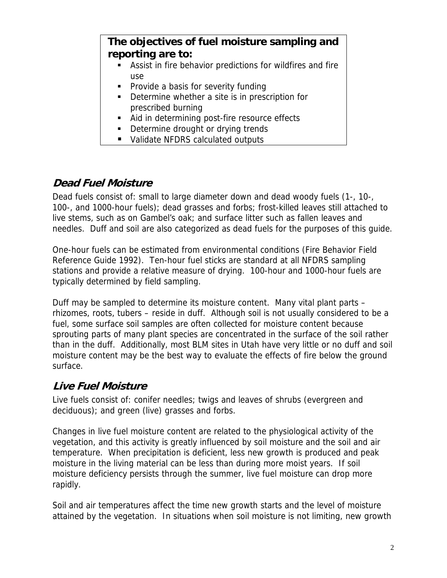### **The objectives of fuel moisture sampling and reporting are to:**

- Assist in fire behavior predictions for wildfires and fire use
- Provide a basis for severity funding
- Determine whether a site is in prescription for prescribed burning
- Aid in determining post-fire resource effects
- Determine drought or drying trends
- Validate NFDRS calculated outputs

### **Dead Fuel Moisture**

Dead fuels consist of: small to large diameter down and dead woody fuels (1-, 10-, 100-, and 1000-hour fuels); dead grasses and forbs; frost-killed leaves still attached to live stems, such as on Gambel's oak; and surface litter such as fallen leaves and needles. Duff and soil are also categorized as dead fuels for the purposes of this guide.

One-hour fuels can be estimated from environmental conditions (Fire Behavior Field Reference Guide 1992). Ten-hour fuel sticks are standard at all NFDRS sampling stations and provide a relative measure of drying. 100-hour and 1000-hour fuels are typically determined by field sampling.

Duff may be sampled to determine its moisture content. Many vital plant parts – rhizomes, roots, tubers – reside in duff. Although soil is not usually considered to be a fuel, some surface soil samples are often collected for moisture content because sprouting parts of many plant species are concentrated in the surface of the soil rather than in the duff. Additionally, most BLM sites in Utah have very little or no duff and soil moisture content may be the best way to evaluate the effects of fire below the ground surface.

### **Live Fuel Moisture**

Live fuels consist of: conifer needles; twigs and leaves of shrubs (evergreen and deciduous); and green (live) grasses and forbs.

Changes in live fuel moisture content are related to the physiological activity of the vegetation, and this activity is greatly influenced by soil moisture and the soil and air temperature. When precipitation is deficient, less new growth is produced and peak moisture in the living material can be less than during more moist years. If soil moisture deficiency persists through the summer, live fuel moisture can drop more rapidly.

Soil and air temperatures affect the time new growth starts and the level of moisture attained by the vegetation. In situations when soil moisture is not limiting, new growth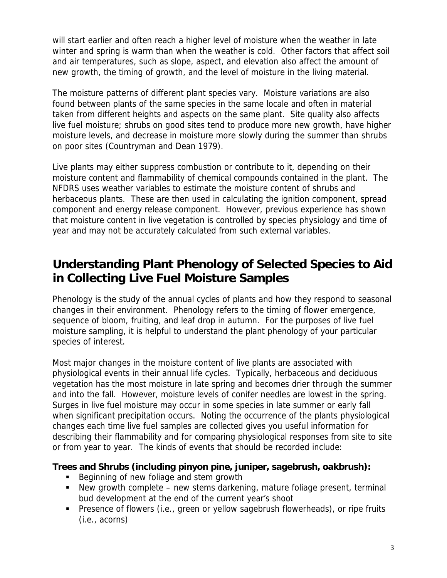will start earlier and often reach a higher level of moisture when the weather in late winter and spring is warm than when the weather is cold. Other factors that affect soil and air temperatures, such as slope, aspect, and elevation also affect the amount of new growth, the timing of growth, and the level of moisture in the living material.

The moisture patterns of different plant species vary. Moisture variations are also found between plants of the same species in the same locale and often in material taken from different heights and aspects on the same plant. Site quality also affects live fuel moisture; shrubs on good sites tend to produce more new growth, have higher moisture levels, and decrease in moisture more slowly during the summer than shrubs on poor sites (Countryman and Dean 1979).

Live plants may either suppress combustion or contribute to it, depending on their moisture content and flammability of chemical compounds contained in the plant. The NFDRS uses weather variables to estimate the moisture content of shrubs and herbaceous plants. These are then used in calculating the ignition component, spread component and energy release component. However, previous experience has shown that moisture content in live vegetation is controlled by species physiology and time of year and may not be accurately calculated from such external variables.

## **Understanding Plant Phenology of Selected Species to Aid in Collecting Live Fuel Moisture Samples**

Phenology is the study of the annual cycles of plants and how they respond to seasonal changes in their environment. Phenology refers to the timing of flower emergence, sequence of bloom, fruiting, and leaf drop in autumn. For the purposes of live fuel moisture sampling, it is helpful to understand the plant phenology of your particular species of interest.

Most major changes in the moisture content of live plants are associated with physiological events in their annual life cycles. Typically, herbaceous and deciduous vegetation has the most moisture in late spring and becomes drier through the summer and into the fall. However, moisture levels of conifer needles are lowest in the spring. Surges in live fuel moisture may occur in some species in late summer or early fall when significant precipitation occurs. Noting the occurrence of the plants physiological changes each time live fuel samples are collected gives you useful information for describing their flammability and for comparing physiological responses from site to site or from year to year. The kinds of events that should be recorded include:

#### **Trees and Shrubs (including pinyon pine, juniper, sagebrush, oakbrush):**

- Beginning of new foliage and stem growth
- New growth complete new stems darkening, mature foliage present, terminal bud development at the end of the current year's shoot
- Presence of flowers (i.e., green or yellow sagebrush flowerheads), or ripe fruits (i.e., acorns)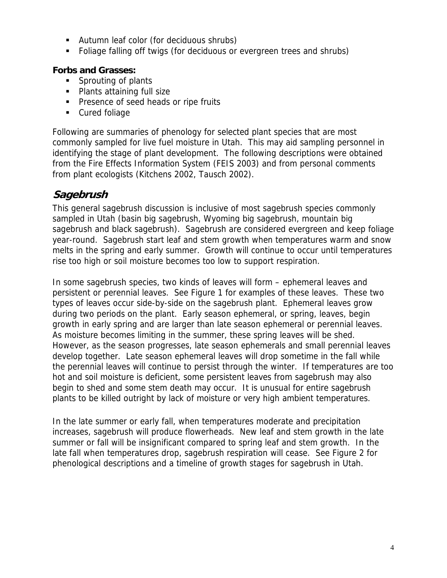- Autumn leaf color (for deciduous shrubs)
- Foliage falling off twigs (for deciduous or evergreen trees and shrubs)

#### **Forbs and Grasses:**

- **Sprouting of plants**
- Plants attaining full size
- **Presence of seed heads or ripe fruits**
- **Cured foliage**

Following are summaries of phenology for selected plant species that are most commonly sampled for live fuel moisture in Utah. This may aid sampling personnel in identifying the stage of plant development. The following descriptions were obtained from the Fire Effects Information System (FEIS 2003) and from personal comments from plant ecologists (Kitchens 2002, Tausch 2002).

#### **Sagebrush**

This general sagebrush discussion is inclusive of most sagebrush species commonly sampled in Utah (basin big sagebrush, Wyoming big sagebrush, mountain big sagebrush and black sagebrush). Sagebrush are considered evergreen and keep foliage year-round. Sagebrush start leaf and stem growth when temperatures warm and snow melts in the spring and early summer. Growth will continue to occur until temperatures rise too high or soil moisture becomes too low to support respiration.

In some sagebrush species, two kinds of leaves will form – ephemeral leaves and persistent or perennial leaves. See Figure 1 for examples of these leaves. These two types of leaves occur side-by-side on the sagebrush plant. Ephemeral leaves grow during two periods on the plant. Early season ephemeral, or spring, leaves, begin growth in early spring and are larger than late season ephemeral or perennial leaves. As moisture becomes limiting in the summer, these spring leaves will be shed. However, as the season progresses, late season ephemerals and small perennial leaves develop together. Late season ephemeral leaves will drop sometime in the fall while the perennial leaves will continue to persist through the winter. If temperatures are too hot and soil moisture is deficient, some persistent leaves from sagebrush may also begin to shed and some stem death may occur. It is unusual for entire sagebrush plants to be killed outright by lack of moisture or very high ambient temperatures.

In the late summer or early fall, when temperatures moderate and precipitation increases, sagebrush will produce flowerheads. New leaf and stem growth in the late summer or fall will be insignificant compared to spring leaf and stem growth. In the late fall when temperatures drop, sagebrush respiration will cease. See Figure 2 for phenological descriptions and a timeline of growth stages for sagebrush in Utah.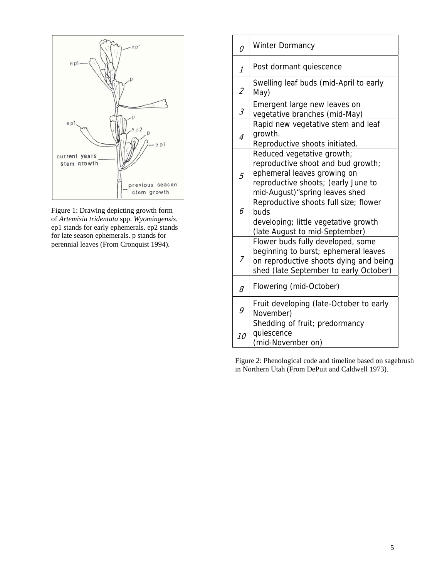

Figure 1: Drawing depicting growth form of *Artemisia tridentata* spp. *Wyomingensis*. ep1 stands for early ephemerals. ep2 stands for late season ephemerals. p stands for perennial leaves (From Cronquist 1994).

| 0                        | Winter Dormancy                                                                                                                                                           |
|--------------------------|---------------------------------------------------------------------------------------------------------------------------------------------------------------------------|
| 1                        | Post dormant quiescence                                                                                                                                                   |
| $\overline{\mathcal{L}}$ | Swelling leaf buds (mid-April to early<br>May)                                                                                                                            |
| 3                        | Emergent large new leaves on<br>vegetative branches (mid-May)                                                                                                             |
| $\overline{4}$           | Rapid new vegetative stem and leaf<br>growth.<br>Reproductive shoots initiated.                                                                                           |
| 5                        | Reduced vegetative growth;<br>reproductive shoot and bud growth;<br>ephemeral leaves growing on<br>reproductive shoots; (early June to<br>mid-August) "spring leaves shed |
| 6                        | Reproductive shoots full size; flower<br>buds<br>developing; little vegetative growth<br>(late August to mid-September)                                                   |
| 7                        | Flower buds fully developed, some<br>beginning to burst; ephemeral leaves<br>on reproductive shoots dying and being<br>shed (late September to early October)             |
| 8                        | Flowering (mid-October)                                                                                                                                                   |
| 9                        | Fruit developing (late-October to early<br>November)                                                                                                                      |
| 10                       | Shedding of fruit; predormancy<br>quiescence<br>(mid-November on)                                                                                                         |

Figure 2: Phenological code and timeline based on sagebrush in Northern Utah (From DePuit and Caldwell 1973).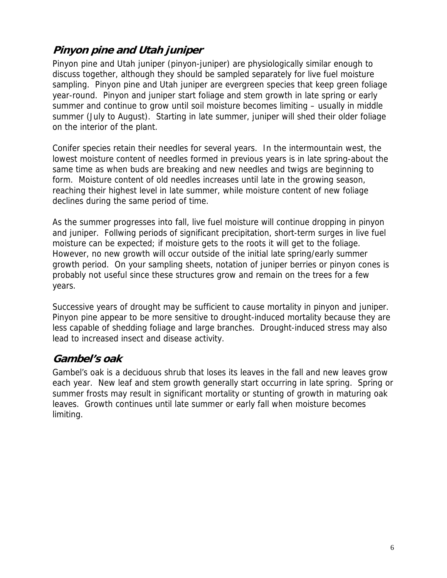## **Pinyon pine and Utah juniper**

Pinyon pine and Utah juniper (pinyon-juniper) are physiologically similar enough to discuss together, although they should be sampled separately for live fuel moisture sampling. Pinyon pine and Utah juniper are evergreen species that keep green foliage year-round. Pinyon and juniper start foliage and stem growth in late spring or early summer and continue to grow until soil moisture becomes limiting – usually in middle summer (July to August). Starting in late summer, juniper will shed their older foliage on the interior of the plant.

Conifer species retain their needles for several years. In the intermountain west, the lowest moisture content of needles formed in previous years is in late spring-about the same time as when buds are breaking and new needles and twigs are beginning to form. Moisture content of old needles increases until late in the growing season, reaching their highest level in late summer, while moisture content of new foliage declines during the same period of time.

As the summer progresses into fall, live fuel moisture will continue dropping in pinyon and juniper. Follwing periods of significant precipitation, short-term surges in live fuel moisture can be expected; if moisture gets to the roots it will get to the foliage. However, no new growth will occur outside of the initial late spring/early summer growth period. On your sampling sheets, notation of juniper berries or pinyon cones is probably not useful since these structures grow and remain on the trees for a few years.

Successive years of drought may be sufficient to cause mortality in pinyon and juniper. Pinyon pine appear to be more sensitive to drought-induced mortality because they are less capable of shedding foliage and large branches. Drought-induced stress may also lead to increased insect and disease activity.

### **Gambel's oak**

Gambel's oak is a deciduous shrub that loses its leaves in the fall and new leaves grow each year. New leaf and stem growth generally start occurring in late spring. Spring or summer frosts may result in significant mortality or stunting of growth in maturing oak leaves. Growth continues until late summer or early fall when moisture becomes limiting.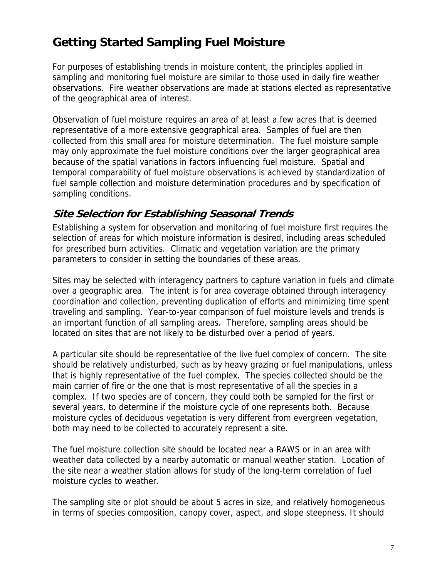## **Getting Started Sampling Fuel Moisture**

For purposes of establishing trends in moisture content, the principles applied in sampling and monitoring fuel moisture are similar to those used in daily fire weather observations. Fire weather observations are made at stations elected as representative of the geographical area of interest.

Observation of fuel moisture requires an area of at least a few acres that is deemed representative of a more extensive geographical area. Samples of fuel are then collected from this small area for moisture determination. The fuel moisture sample may only approximate the fuel moisture conditions over the larger geographical area because of the spatial variations in factors influencing fuel moisture. Spatial and temporal comparability of fuel moisture observations is achieved by standardization of fuel sample collection and moisture determination procedures and by specification of sampling conditions.

### **Site Selection for Establishing Seasonal Trends**

Establishing a system for observation and monitoring of fuel moisture first requires the selection of areas for which moisture information is desired, including areas scheduled for prescribed burn activities. Climatic and vegetation variation are the primary parameters to consider in setting the boundaries of these areas.

Sites may be selected with interagency partners to capture variation in fuels and climate over a geographic area. The intent is for area coverage obtained through interagency coordination and collection, preventing duplication of efforts and minimizing time spent traveling and sampling. Year-to-year comparison of fuel moisture levels and trends is an important function of all sampling areas. Therefore, sampling areas should be located on sites that are not likely to be disturbed over a period of years.

A particular site should be representative of the live fuel complex of concern. The site should be relatively undisturbed, such as by heavy grazing or fuel manipulations, unless that is highly representative of the fuel complex. The species collected should be the main carrier of fire or the one that is most representative of all the species in a complex. If two species are of concern, they could both be sampled for the first or several years, to determine if the moisture cycle of one represents both. Because moisture cycles of deciduous vegetation is very different from evergreen vegetation, both may need to be collected to accurately represent a site.

The fuel moisture collection site should be located near a RAWS or in an area with weather data collected by a nearby automatic or manual weather station. Location of the site near a weather station allows for study of the long-term correlation of fuel moisture cycles to weather.

The sampling site or plot should be about 5 acres in size, and relatively homogeneous in terms of species composition, canopy cover, aspect, and slope steepness. It should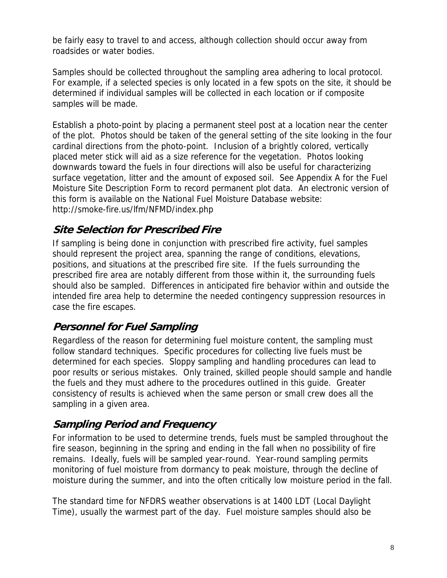be fairly easy to travel to and access, although collection should occur away from roadsides or water bodies.

Samples should be collected throughout the sampling area adhering to local protocol. For example, if a selected species is only located in a few spots on the site, it should be determined if individual samples will be collected in each location or if composite samples will be made.

Establish a photo-point by placing a permanent steel post at a location near the center of the plot. Photos should be taken of the general setting of the site looking in the four cardinal directions from the photo-point. Inclusion of a brightly colored, vertically placed meter stick will aid as a size reference for the vegetation. Photos looking downwards toward the fuels in four directions will also be useful for characterizing surface vegetation, litter and the amount of exposed soil. See Appendix A for the Fuel Moisture Site Description Form to record permanent plot data. An electronic version of this form is available on the National Fuel Moisture Database website: http://smoke-fire.us/lfm/NFMD/index.php

### **Site Selection for Prescribed Fire**

If sampling is being done in conjunction with prescribed fire activity, fuel samples should represent the project area, spanning the range of conditions, elevations, positions, and situations at the prescribed fire site. If the fuels surrounding the prescribed fire area are notably different from those within it, the surrounding fuels should also be sampled. Differences in anticipated fire behavior within and outside the intended fire area help to determine the needed contingency suppression resources in case the fire escapes.

### **Personnel for Fuel Sampling**

Regardless of the reason for determining fuel moisture content, the sampling must follow standard techniques. Specific procedures for collecting live fuels must be determined for each species. Sloppy sampling and handling procedures can lead to poor results or serious mistakes. Only trained, skilled people should sample and handle the fuels and they must adhere to the procedures outlined in this guide. Greater consistency of results is achieved when the same person or small crew does all the sampling in a given area.

## **Sampling Period and Frequency**

For information to be used to determine trends, fuels must be sampled throughout the fire season, beginning in the spring and ending in the fall when no possibility of fire remains. Ideally, fuels will be sampled year-round. Year-round sampling permits monitoring of fuel moisture from dormancy to peak moisture, through the decline of moisture during the summer, and into the often critically low moisture period in the fall.

The standard time for NFDRS weather observations is at 1400 LDT (Local Daylight Time), usually the warmest part of the day. Fuel moisture samples should also be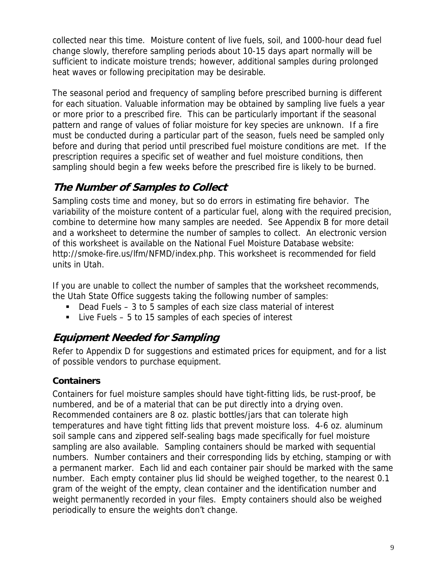collected near this time. Moisture content of live fuels, soil, and 1000-hour dead fuel change slowly, therefore sampling periods about 10-15 days apart normally will be sufficient to indicate moisture trends; however, additional samples during prolonged heat waves or following precipitation may be desirable.

The seasonal period and frequency of sampling before prescribed burning is different for each situation. Valuable information may be obtained by sampling live fuels a year or more prior to a prescribed fire. This can be particularly important if the seasonal pattern and range of values of foliar moisture for key species are unknown. If a fire must be conducted during a particular part of the season, fuels need be sampled only before and during that period until prescribed fuel moisture conditions are met. If the prescription requires a specific set of weather and fuel moisture conditions, then sampling should begin a few weeks before the prescribed fire is likely to be burned.

## **The Number of Samples to Collect**

Sampling costs time and money, but so do errors in estimating fire behavior. The variability of the moisture content of a particular fuel, along with the required precision, combine to determine how many samples are needed. See Appendix B for more detail and a worksheet to determine the number of samples to collect. An electronic version of this worksheet is available on the National Fuel Moisture Database website: http://smoke-fire.us/lfm/NFMD/index.php. This worksheet is recommended for field units in Utah.

If you are unable to collect the number of samples that the worksheet recommends, the Utah State Office suggests taking the following number of samples:

- Dead Fuels 3 to 5 samples of each size class material of interest
- Live Fuels 5 to 15 samples of each species of interest

### **Equipment Needed for Sampling**

Refer to Appendix D for suggestions and estimated prices for equipment, and for a list of possible vendors to purchase equipment.

#### **Containers**

Containers for fuel moisture samples should have tight-fitting lids, be rust-proof, be numbered, and be of a material that can be put directly into a drying oven. Recommended containers are 8 oz. plastic bottles/jars that can tolerate high temperatures and have tight fitting lids that prevent moisture loss. 4-6 oz. aluminum soil sample cans and zippered self-sealing bags made specifically for fuel moisture sampling are also available. Sampling containers should be marked with sequential numbers. Number containers and their corresponding lids by etching, stamping or with a permanent marker. Each lid and each container pair should be marked with the same number. Each empty container plus lid should be weighed together, to the nearest 0.1 gram of the weight of the empty, clean container and the identification number and weight permanently recorded in your files. Empty containers should also be weighed periodically to ensure the weights don't change.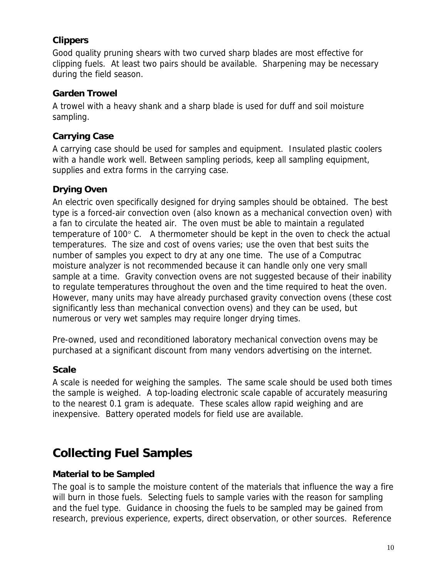#### **Clippers**

Good quality pruning shears with two curved sharp blades are most effective for clipping fuels. At least two pairs should be available. Sharpening may be necessary during the field season.

#### **Garden Trowel**

A trowel with a heavy shank and a sharp blade is used for duff and soil moisture sampling.

#### **Carrying Case**

A carrying case should be used for samples and equipment. Insulated plastic coolers with a handle work well. Between sampling periods, keep all sampling equipment, supplies and extra forms in the carrying case.

### **Drying Oven**

An electric oven specifically designed for drying samples should be obtained. The best type is a forced-air convection oven (also known as a mechanical convection oven) with a fan to circulate the heated air. The oven must be able to maintain a regulated temperature of 100° C. A thermometer should be kept in the oven to check the actual temperatures. The size and cost of ovens varies; use the oven that best suits the number of samples you expect to dry at any one time. The use of a Computrac moisture analyzer is not recommended because it can handle only one very small sample at a time. Gravity convection ovens are not suggested because of their inability to regulate temperatures throughout the oven and the time required to heat the oven. However, many units may have already purchased gravity convection ovens (these cost significantly less than mechanical convection ovens) and they can be used, but numerous or very wet samples may require longer drying times.

Pre-owned, used and reconditioned laboratory mechanical convection ovens may be purchased at a significant discount from many vendors advertising on the internet.

#### **Scale**

A scale is needed for weighing the samples. The same scale should be used both times the sample is weighed. A top-loading electronic scale capable of accurately measuring to the nearest 0.1 gram is adequate. These scales allow rapid weighing and are inexpensive. Battery operated models for field use are available.

## **Collecting Fuel Samples**

#### **Material to be Sampled**

The goal is to sample the moisture content of the materials that influence the way a fire will burn in those fuels. Selecting fuels to sample varies with the reason for sampling and the fuel type. Guidance in choosing the fuels to be sampled may be gained from research, previous experience, experts, direct observation, or other sources. Reference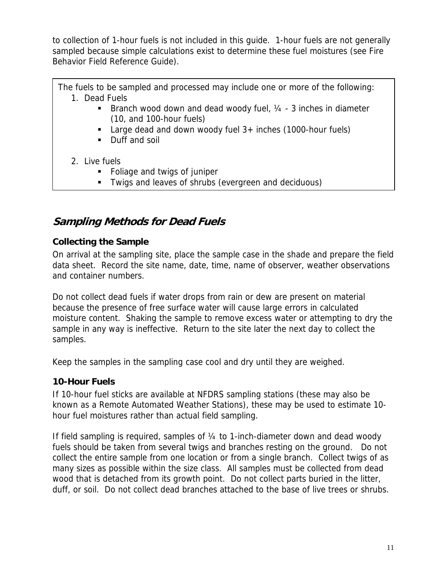to collection of 1-hour fuels is not included in this guide. 1-hour fuels are not generally sampled because simple calculations exist to determine these fuel moistures (see Fire Behavior Field Reference Guide).

The fuels to be sampled and processed may include one or more of the following: 1. Dead Fuels

- **Branch wood down and dead woody fuel,**  $\frac{1}{4}$  **3 inches in diameter** (10, and 100-hour fuels)
- Large dead and down woody fuel 3+ inches (1000-hour fuels)
- Duff and soil
- 2. Live fuels
	- Foliage and twigs of juniper
	- Twigs and leaves of shrubs (evergreen and deciduous)

## **Sampling Methods for Dead Fuels**

#### **Collecting the Sample**

On arrival at the sampling site, place the sample case in the shade and prepare the field data sheet. Record the site name, date, time, name of observer, weather observations and container numbers.

Do not collect dead fuels if water drops from rain or dew are present on material because the presence of free surface water will cause large errors in calculated moisture content. Shaking the sample to remove excess water or attempting to dry the sample in any way is ineffective. Return to the site later the next day to collect the samples.

Keep the samples in the sampling case cool and dry until they are weighed.

### **10-Hour Fuels**

If 10-hour fuel sticks are available at NFDRS sampling stations (these may also be known as a Remote Automated Weather Stations), these may be used to estimate 10 hour fuel moistures rather than actual field sampling.

If field sampling is required, samples of ¼ to 1-inch-diameter down and dead woody fuels should be taken from several twigs and branches resting on the ground. Do not collect the entire sample from one location or from a single branch. Collect twigs of as many sizes as possible within the size class. All samples must be collected from dead wood that is detached from its growth point. Do not collect parts buried in the litter, duff, or soil. Do not collect dead branches attached to the base of live trees or shrubs.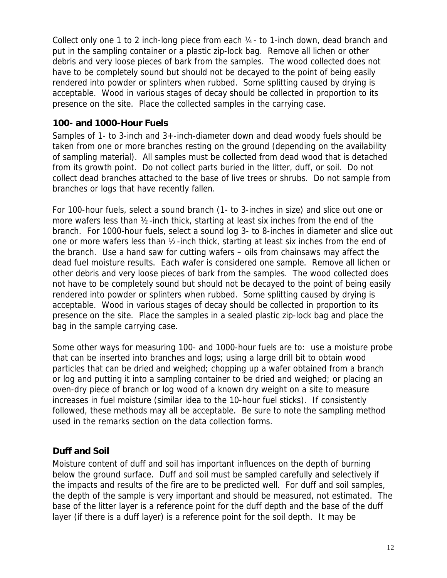Collect only one 1 to 2 inch-long piece from each  $\frac{1}{4}$ - to 1-inch down, dead branch and put in the sampling container or a plastic zip-lock bag. Remove all lichen or other debris and very loose pieces of bark from the samples. The wood collected does not have to be completely sound but should not be decayed to the point of being easily rendered into powder or splinters when rubbed. Some splitting caused by drying is acceptable. Wood in various stages of decay should be collected in proportion to its presence on the site. Place the collected samples in the carrying case.

#### **100- and 1000-Hour Fuels**

Samples of 1- to 3-inch and 3+-inch-diameter down and dead woody fuels should be taken from one or more branches resting on the ground (depending on the availability of sampling material). All samples must be collected from dead wood that is detached from its growth point. Do not collect parts buried in the litter, duff, or soil. Do not collect dead branches attached to the base of live trees or shrubs. Do not sample from branches or logs that have recently fallen.

For 100-hour fuels, select a sound branch (1- to 3-inches in size) and slice out one or more wafers less than ½-inch thick, starting at least six inches from the end of the branch. For 1000-hour fuels, select a sound log 3- to 8-inches in diameter and slice out one or more wafers less than ½-inch thick, starting at least six inches from the end of the branch. Use a hand saw for cutting wafers – oils from chainsaws may affect the dead fuel moisture results. Each wafer is considered one sample. Remove all lichen or other debris and very loose pieces of bark from the samples. The wood collected does not have to be completely sound but should not be decayed to the point of being easily rendered into powder or splinters when rubbed. Some splitting caused by drying is acceptable. Wood in various stages of decay should be collected in proportion to its presence on the site. Place the samples in a sealed plastic zip-lock bag and place the bag in the sample carrying case.

Some other ways for measuring 100- and 1000-hour fuels are to: use a moisture probe that can be inserted into branches and logs; using a large drill bit to obtain wood particles that can be dried and weighed; chopping up a wafer obtained from a branch or log and putting it into a sampling container to be dried and weighed; or placing an oven-dry piece of branch or log wood of a known dry weight on a site to measure increases in fuel moisture (similar idea to the 10-hour fuel sticks). If consistently followed, these methods may all be acceptable. Be sure to note the sampling method used in the remarks section on the data collection forms.

#### **Duff and Soil**

Moisture content of duff and soil has important influences on the depth of burning below the ground surface. Duff and soil must be sampled carefully and selectively if the impacts and results of the fire are to be predicted well. For duff and soil samples, the depth of the sample is very important and should be measured, not estimated. The base of the litter layer is a reference point for the duff depth and the base of the duff layer (if there is a duff layer) is a reference point for the soil depth. It may be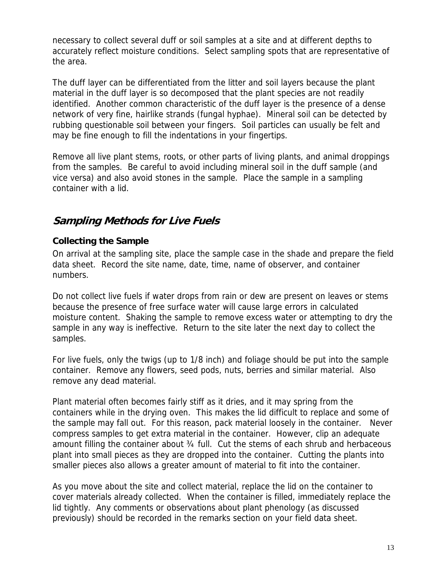necessary to collect several duff or soil samples at a site and at different depths to accurately reflect moisture conditions. Select sampling spots that are representative of the area.

The duff layer can be differentiated from the litter and soil layers because the plant material in the duff layer is so decomposed that the plant species are not readily identified. Another common characteristic of the duff layer is the presence of a dense network of very fine, hairlike strands (fungal hyphae). Mineral soil can be detected by rubbing questionable soil between your fingers. Soil particles can usually be felt and may be fine enough to fill the indentations in your fingertips.

Remove all live plant stems, roots, or other parts of living plants, and animal droppings from the samples. Be careful to avoid including mineral soil in the duff sample (and vice versa) and also avoid stones in the sample. Place the sample in a sampling container with a lid.

### **Sampling Methods for Live Fuels**

#### **Collecting the Sample**

On arrival at the sampling site, place the sample case in the shade and prepare the field data sheet. Record the site name, date, time, name of observer, and container numbers.

Do not collect live fuels if water drops from rain or dew are present on leaves or stems because the presence of free surface water will cause large errors in calculated moisture content. Shaking the sample to remove excess water or attempting to dry the sample in any way is ineffective. Return to the site later the next day to collect the samples.

For live fuels, only the twigs (up to 1/8 inch) and foliage should be put into the sample container. Remove any flowers, seed pods, nuts, berries and similar material. Also remove any dead material.

Plant material often becomes fairly stiff as it dries, and it may spring from the containers while in the drying oven. This makes the lid difficult to replace and some of the sample may fall out. For this reason, pack material loosely in the container. Never compress samples to get extra material in the container. However, clip an adequate amount filling the container about ¾ full. Cut the stems of each shrub and herbaceous plant into small pieces as they are dropped into the container. Cutting the plants into smaller pieces also allows a greater amount of material to fit into the container.

As you move about the site and collect material, replace the lid on the container to cover materials already collected. When the container is filled, immediately replace the lid tightly. Any comments or observations about plant phenology (as discussed previously) should be recorded in the remarks section on your field data sheet.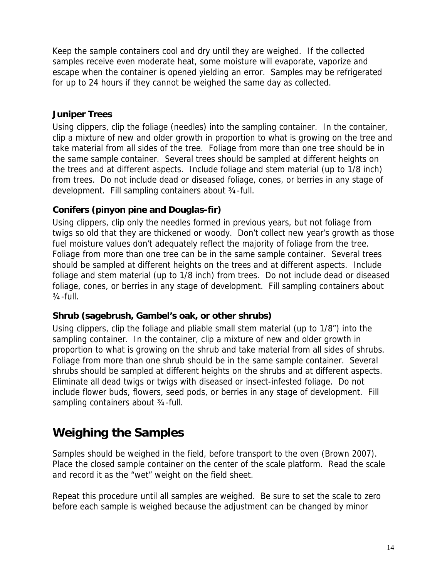Keep the sample containers cool and dry until they are weighed. If the collected samples receive even moderate heat, some moisture will evaporate, vaporize and escape when the container is opened yielding an error. Samples may be refrigerated for up to 24 hours if they cannot be weighed the same day as collected.

#### **Juniper Trees**

Using clippers, clip the foliage (needles) into the sampling container. In the container, clip a mixture of new and older growth in proportion to what is growing on the tree and take material from all sides of the tree. Foliage from more than one tree should be in the same sample container. Several trees should be sampled at different heights on the trees and at different aspects. Include foliage and stem material (up to 1/8 inch) from trees. Do not include dead or diseased foliage, cones, or berries in any stage of development. Fill sampling containers about ¾-full.

#### **Conifers (pinyon pine and Douglas-fir)**

Using clippers, clip only the needles formed in previous years, but not foliage from twigs so old that they are thickened or woody. Don't collect new year's growth as those fuel moisture values don't adequately reflect the majority of foliage from the tree. Foliage from more than one tree can be in the same sample container. Several trees should be sampled at different heights on the trees and at different aspects. Include foliage and stem material (up to 1/8 inch) from trees. Do not include dead or diseased foliage, cones, or berries in any stage of development. Fill sampling containers about  $3/4$ -full.

#### **Shrub (sagebrush, Gambel's oak, or other shrubs)**

Using clippers, clip the foliage and pliable small stem material (up to 1/8") into the sampling container. In the container, clip a mixture of new and older growth in proportion to what is growing on the shrub and take material from all sides of shrubs. Foliage from more than one shrub should be in the same sample container. Several shrubs should be sampled at different heights on the shrubs and at different aspects. Eliminate all dead twigs or twigs with diseased or insect-infested foliage. Do not include flower buds, flowers, seed pods, or berries in any stage of development. Fill sampling containers about 3/4-full.

## **Weighing the Samples**

Samples should be weighed in the field, before transport to the oven (Brown 2007). Place the closed sample container on the center of the scale platform. Read the scale and record it as the "wet" weight on the field sheet.

Repeat this procedure until all samples are weighed. Be sure to set the scale to zero before each sample is weighed because the adjustment can be changed by minor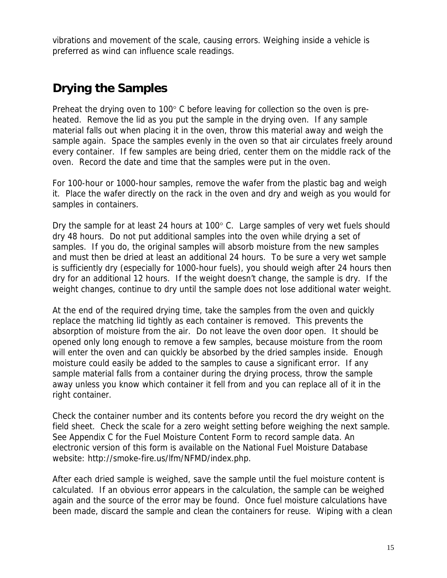vibrations and movement of the scale, causing errors. Weighing inside a vehicle is preferred as wind can influence scale readings.

## **Drying the Samples**

Preheat the drying oven to 100° C before leaving for collection so the oven is preheated. Remove the lid as you put the sample in the drying oven. If any sample material falls out when placing it in the oven, throw this material away and weigh the sample again. Space the samples evenly in the oven so that air circulates freely around every container. If few samples are being dried, center them on the middle rack of the oven. Record the date and time that the samples were put in the oven.

For 100-hour or 1000-hour samples, remove the wafer from the plastic bag and weigh it. Place the wafer directly on the rack in the oven and dry and weigh as you would for samples in containers.

Dry the sample for at least 24 hours at 100° C. Large samples of very wet fuels should dry 48 hours. Do not put additional samples into the oven while drying a set of samples. If you do, the original samples will absorb moisture from the new samples and must then be dried at least an additional 24 hours. To be sure a very wet sample is sufficiently dry (especially for 1000-hour fuels), you should weigh after 24 hours then dry for an additional 12 hours. If the weight doesn't change, the sample is dry. If the weight changes, continue to dry until the sample does not lose additional water weight.

At the end of the required drying time, take the samples from the oven and quickly replace the matching lid tightly as each container is removed. This prevents the absorption of moisture from the air. Do not leave the oven door open. It should be opened only long enough to remove a few samples, because moisture from the room will enter the oven and can quickly be absorbed by the dried samples inside. Enough moisture could easily be added to the samples to cause a significant error. If any sample material falls from a container during the drying process, throw the sample away unless you know which container it fell from and you can replace all of it in the right container.

Check the container number and its contents before you record the dry weight on the field sheet. Check the scale for a zero weight setting before weighing the next sample. See Appendix C for the Fuel Moisture Content Form to record sample data. An electronic version of this form is available on the National Fuel Moisture Database website: http://smoke-fire.us/lfm/NFMD/index.php.

After each dried sample is weighed, save the sample until the fuel moisture content is calculated. If an obvious error appears in the calculation, the sample can be weighed again and the source of the error may be found. Once fuel moisture calculations have been made, discard the sample and clean the containers for reuse. Wiping with a clean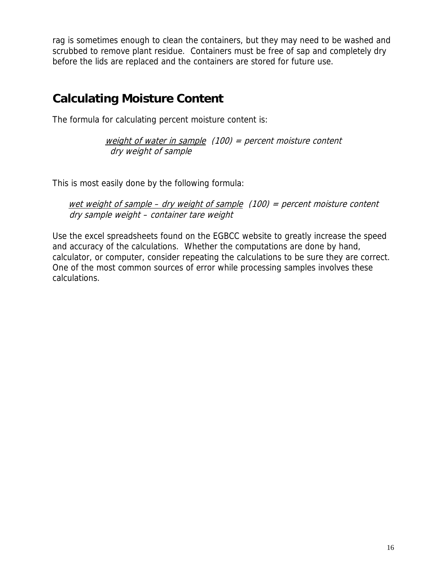rag is sometimes enough to clean the containers, but they may need to be washed and scrubbed to remove plant residue. Containers must be free of sap and completely dry before the lids are replaced and the containers are stored for future use.

## **Calculating Moisture Content**

The formula for calculating percent moisture content is:

weight of water in sample  $(100)$  = percent moisture content dry weight of sample

This is most easily done by the following formula:

wet weight of sample – dry weight of sample  $(100)$  = percent moisture content dry sample weight – container tare weight

Use the excel spreadsheets found on the EGBCC website to greatly increase the speed and accuracy of the calculations. Whether the computations are done by hand, calculator, or computer, consider repeating the calculations to be sure they are correct. One of the most common sources of error while processing samples involves these calculations.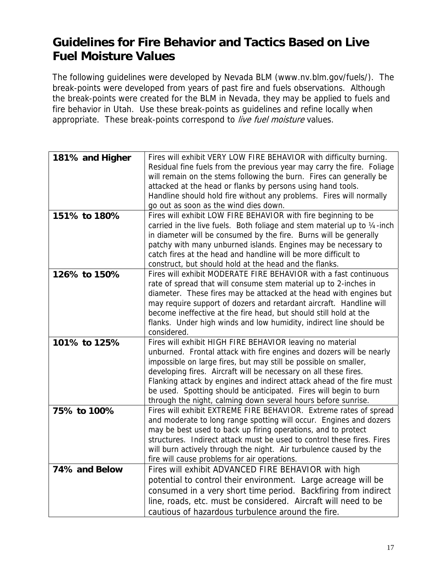## **Guidelines for Fire Behavior and Tactics Based on Live Fuel Moisture Values**

The following guidelines were developed by Nevada BLM (www.nv.blm.gov/fuels/). The break-points were developed from years of past fire and fuels observations. Although the break-points were created for the BLM in Nevada, they may be applied to fuels and fire behavior in Utah. Use these break-points as guidelines and refine locally when appropriate. These break-points correspond to live fuel moisture values.

| 181% and Higher | Fires will exhibit VERY LOW FIRE BEHAVIOR with difficulty burning.       |
|-----------------|--------------------------------------------------------------------------|
|                 | Residual fine fuels from the previous year may carry the fire. Foliage   |
|                 | will remain on the stems following the burn. Fires can generally be      |
|                 | attacked at the head or flanks by persons using hand tools.              |
|                 | Handline should hold fire without any problems. Fires will normally      |
|                 | go out as soon as the wind dies down.                                    |
| 151% to 180%    | Fires will exhibit LOW FIRE BEHAVIOR with fire beginning to be           |
|                 | carried in the live fuels. Both foliage and stem material up to 1/4-inch |
|                 | in diameter will be consumed by the fire. Burns will be generally        |
|                 | patchy with many unburned islands. Engines may be necessary to           |
|                 | catch fires at the head and handline will be more difficult to           |
|                 | construct, but should hold at the head and the flanks.                   |
| 126% to 150%    | Fires will exhibit MODERATE FIRE BEHAVIOR with a fast continuous         |
|                 | rate of spread that will consume stem material up to 2-inches in         |
|                 | diameter. These fires may be attacked at the head with engines but       |
|                 |                                                                          |
|                 | may require support of dozers and retardant aircraft. Handline will      |
|                 | become ineffective at the fire head, but should still hold at the        |
|                 | flanks. Under high winds and low humidity, indirect line should be       |
|                 | considered.                                                              |
| 101% to 125%    | Fires will exhibit HIGH FIRE BEHAVIOR leaving no material                |
|                 | unburned. Frontal attack with fire engines and dozers will be nearly     |
|                 | impossible on large fires, but may still be possible on smaller,         |
|                 | developing fires. Aircraft will be necessary on all these fires.         |
|                 | Flanking attack by engines and indirect attack ahead of the fire must    |
|                 | be used. Spotting should be anticipated. Fires will begin to burn        |
|                 | through the night, calming down several hours before sunrise.            |
| 75% to 100%     | Fires will exhibit EXTREME FIRE BEHAVIOR. Extreme rates of spread        |
|                 | and moderate to long range spotting will occur. Engines and dozers       |
|                 | may be best used to back up firing operations, and to protect            |
|                 | structures. Indirect attack must be used to control these fires. Fires   |
|                 | will burn actively through the night. Air turbulence caused by the       |
|                 | fire will cause problems for air operations.                             |
| 74% and Below   | Fires will exhibit ADVANCED FIRE BEHAVIOR with high                      |
|                 | potential to control their environment. Large acreage will be            |
|                 | consumed in a very short time period. Backfiring from indirect           |
|                 | line, roads, etc. must be considered. Aircraft will need to be           |
|                 | cautious of hazardous turbulence around the fire.                        |
|                 |                                                                          |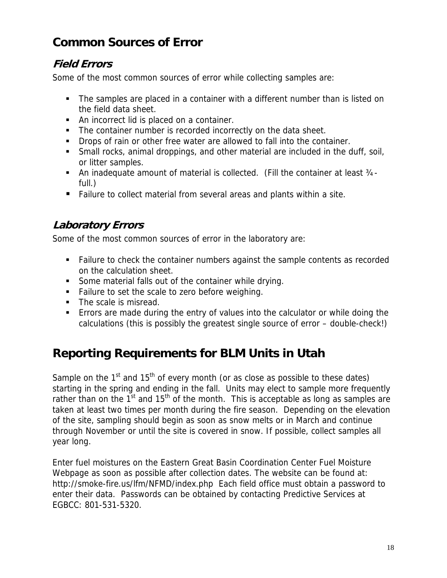## **Common Sources of Error**

### **Field Errors**

Some of the most common sources of error while collecting samples are:

- The samples are placed in a container with a different number than is listed on the field data sheet.
- An incorrect lid is placed on a container.
- The container number is recorded incorrectly on the data sheet.
- **Drops of rain or other free water are allowed to fall into the container.**
- Small rocks, animal droppings, and other material are included in the duff, soil, or litter samples.
- An inadequate amount of material is collected. (Fill the container at least 3⁄4full.)
- Failure to collect material from several areas and plants within a site.

## **Laboratory Errors**

Some of the most common sources of error in the laboratory are:

- Failure to check the container numbers against the sample contents as recorded on the calculation sheet.
- Some material falls out of the container while drying.
- **Failure to set the scale to zero before weighing.**
- The scale is misread.
- Errors are made during the entry of values into the calculator or while doing the calculations (this is possibly the greatest single source of error – double-check!)

## **Reporting Requirements for BLM Units in Utah**

Sample on the  $1<sup>st</sup>$  and  $15<sup>th</sup>$  of every month (or as close as possible to these dates) starting in the spring and ending in the fall. Units may elect to sample more frequently rather than on the  $1<sup>st</sup>$  and  $15<sup>th</sup>$  of the month. This is acceptable as long as samples are taken at least two times per month during the fire season. Depending on the elevation of the site, sampling should begin as soon as snow melts or in March and continue through November or until the site is covered in snow. If possible, collect samples all year long.

Enter fuel moistures on the Eastern Great Basin Coordination Center Fuel Moisture Webpage as soon as possible after collection dates. The website can be found at: http://smoke-fire.us/lfm/NFMD/index.php Each field office must obtain a password to enter their data. Passwords can be obtained by contacting Predictive Services at EGBCC: 801-531-5320.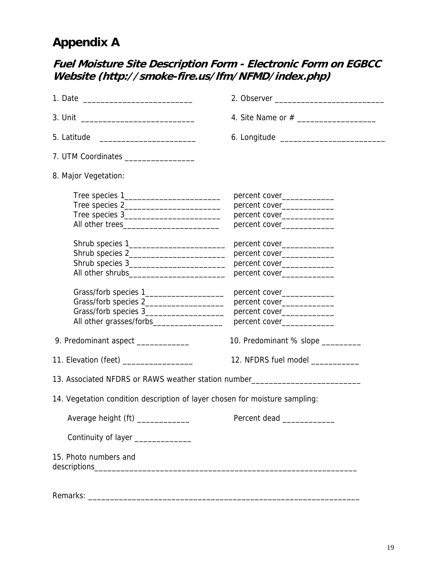## **Appendix A**

## **Fuel Moisture Site Description Form - Electronic Form on EGBCC Website (http://smoke-fire.us/lfm/NFMD/index.php)**

| 5. Latitude                                                                      |                                   |  |  |  |  |  |  |
|----------------------------------------------------------------------------------|-----------------------------------|--|--|--|--|--|--|
| 7. UTM Coordinates __________________                                            |                                   |  |  |  |  |  |  |
| 8. Major Vegetation:                                                             |                                   |  |  |  |  |  |  |
|                                                                                  | percent cover_______________      |  |  |  |  |  |  |
|                                                                                  | percent cover______________       |  |  |  |  |  |  |
|                                                                                  | percent cover______________       |  |  |  |  |  |  |
|                                                                                  | percent cover______________       |  |  |  |  |  |  |
|                                                                                  | percent cover_____________        |  |  |  |  |  |  |
| Shrub species 2___________________________                                       | percent cover______________       |  |  |  |  |  |  |
|                                                                                  | percent cover_____________        |  |  |  |  |  |  |
|                                                                                  | percent cover_____________        |  |  |  |  |  |  |
| Grass/forb species 1______________________                                       | percent cover______________       |  |  |  |  |  |  |
|                                                                                  | percent cover_____________        |  |  |  |  |  |  |
| Grass/forb species 3_____________________                                        | percent cover_____________        |  |  |  |  |  |  |
|                                                                                  | percent cover______________       |  |  |  |  |  |  |
| 9. Predominant aspect _____________                                              | 10. Predominant % slope _________ |  |  |  |  |  |  |
| 11. Elevation (feet) ___________________                                         | 12. NFDRS fuel model ___________  |  |  |  |  |  |  |
| 13. Associated NFDRS or RAWS weather station number_____________________________ |                                   |  |  |  |  |  |  |
| 14. Vegetation condition description of layer chosen for moisture sampling:      |                                   |  |  |  |  |  |  |
|                                                                                  |                                   |  |  |  |  |  |  |
|                                                                                  |                                   |  |  |  |  |  |  |
| Continuity of layer ______________                                               |                                   |  |  |  |  |  |  |
| 15. Photo numbers and                                                            |                                   |  |  |  |  |  |  |
|                                                                                  |                                   |  |  |  |  |  |  |
|                                                                                  |                                   |  |  |  |  |  |  |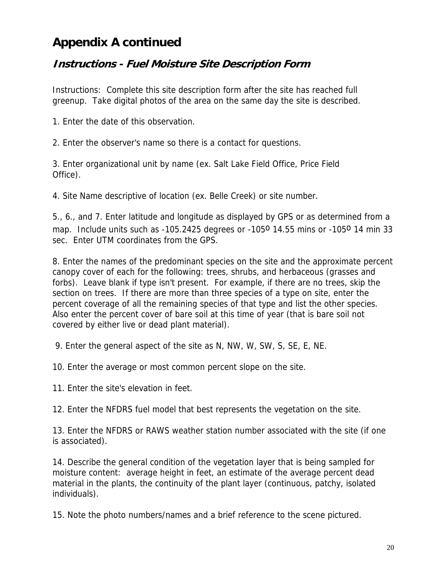## **Appendix A continued**

### **Instructions - Fuel Moisture Site Description Form**

Instructions: Complete this site description form after the site has reached full greenup. Take digital photos of the area on the same day the site is described.

1. Enter the date of this observation.

2. Enter the observer's name so there is a contact for questions.

3. Enter organizational unit by name (ex. Salt Lake Field Office, Price Field Office).

4. Site Name descriptive of location (ex. Belle Creek) or site number.

5., 6., and 7. Enter latitude and longitude as displayed by GPS or as determined from a map. Include units such as  $-105.2425$  degrees or  $-105^{\circ}$  14.55 mins or  $-105^{\circ}$  14 min 33 sec. Enter UTM coordinates from the GPS.

8. Enter the names of the predominant species on the site and the approximate percent canopy cover of each for the following: trees, shrubs, and herbaceous (grasses and forbs). Leave blank if type isn't present. For example, if there are no trees, skip the section on trees. If there are more than three species of a type on site, enter the percent coverage of all the remaining species of that type and list the other species. Also enter the percent cover of bare soil at this time of year (that is bare soil not covered by either live or dead plant material).

9. Enter the general aspect of the site as N, NW, W, SW, S, SE, E, NE.

10. Enter the average or most common percent slope on the site.

11. Enter the site's elevation in feet.

12. Enter the NFDRS fuel model that best represents the vegetation on the site.

13. Enter the NFDRS or RAWS weather station number associated with the site (if one is associated).

14. Describe the general condition of the vegetation layer that is being sampled for moisture content: average height in feet, an estimate of the average percent dead material in the plants, the continuity of the plant layer (continuous, patchy, isolated individuals).

15. Note the photo numbers/names and a brief reference to the scene pictured.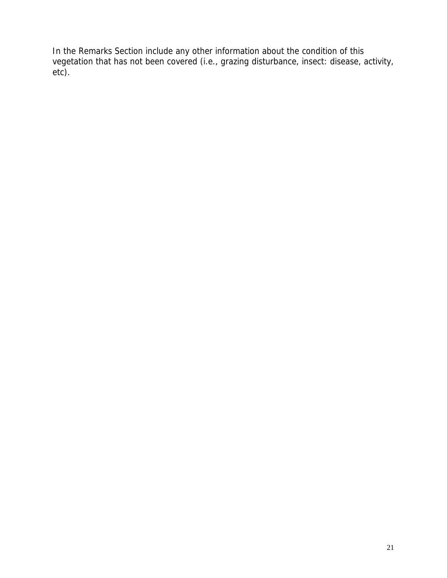In the Remarks Section include any other information about the condition of this vegetation that has not been covered (i.e., grazing disturbance, insect: disease, activity, etc).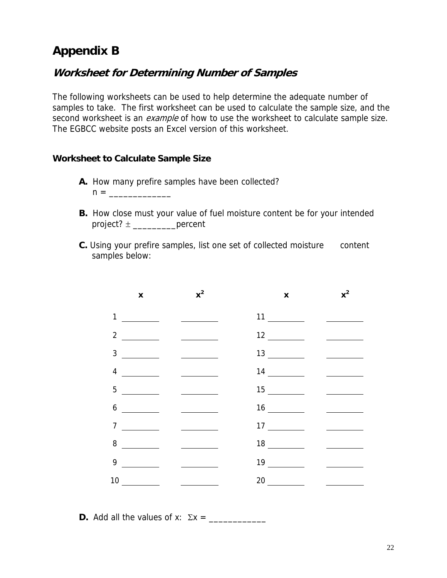## **Appendix B**

### **Worksheet for Determining Number of Samples**

The following worksheets can be used to help determine the adequate number of samples to take. The first worksheet can be used to calculate the sample size, and the second worksheet is an *example* of how to use the worksheet to calculate sample size. The EGBCC website posts an Excel version of this worksheet.

#### **Worksheet to Calculate Sample Size**

- **A.** How many prefire samples have been collected?  $n = \_$
- **B.** How close must your value of fuel moisture content be for your intended project?  $\pm$  \_\_\_\_\_\_\_\_\_\_\_\_\_percent
- **C.** Using your prefire samples, list one set of collected moisture content samples below:

|                | $\pmb{\mathsf{x}}$                                   | $x^2$                                                                                                                                                                                                                                                                                                                                                                                                                                                                                           | $\boldsymbol{\mathsf{X}}$       | $x^2$                                                   |
|----------------|------------------------------------------------------|-------------------------------------------------------------------------------------------------------------------------------------------------------------------------------------------------------------------------------------------------------------------------------------------------------------------------------------------------------------------------------------------------------------------------------------------------------------------------------------------------|---------------------------------|---------------------------------------------------------|
| $\mathbf{1}$   | <u> 1999 - Johann Barnett, f</u>                     | $\overline{\phantom{a}}$ . The contract of $\overline{\phantom{a}}$                                                                                                                                                                                                                                                                                                                                                                                                                             |                                 |                                                         |
| $\overline{2}$ | $\mathcal{L}=\mathcal{L}$ . The set of $\mathcal{L}$ | <u> The Community of the Community of the Community of the Community of the Community of the Community of the Community of the Community of the Community of the Community of the Community of the Community of the Community of</u>                                                                                                                                                                                                                                                            |                                 |                                                         |
| $\mathfrak{Z}$ |                                                      | $\begin{tabular}{l} \multicolumn{2}{c} {\textbf{1}} & \multicolumn{2}{c} {\textbf{1}} & \multicolumn{2}{c} {\textbf{1}} \\ \multicolumn{2}{c} {\textbf{1}} & \multicolumn{2}{c} {\textbf{1}} & \multicolumn{2}{c} {\textbf{1}} \\ \multicolumn{2}{c} {\textbf{1}} & \multicolumn{2}{c} {\textbf{1}} & \multicolumn{2}{c} {\textbf{1}} \\ \multicolumn{2}{c} {\textbf{1}} & \multicolumn{2}{c} {\textbf{1}} & \multicolumn{2}{c} {\textbf{1}} \\ \multicolumn{2}{c} {\textbf{1}} & \multicolumn$ |                                 |                                                         |
| $\overline{4}$ |                                                      | $\begin{tabular}{l} \multicolumn{2}{c} {\textbf{1}} & \multicolumn{2}{c} {\textbf{1}} & \multicolumn{2}{c} {\textbf{1}} \\ \multicolumn{2}{c} {\textbf{1}} & \multicolumn{2}{c} {\textbf{1}} & \multicolumn{2}{c} {\textbf{1}} \\ \multicolumn{2}{c} {\textbf{1}} & \multicolumn{2}{c} {\textbf{1}} & \multicolumn{2}{c} {\textbf{1}} \\ \multicolumn{2}{c} {\textbf{1}} & \multicolumn{2}{c} {\textbf{1}} & \multicolumn{2}{c} {\textbf{1}} \\ \multicolumn{2}{c} {\textbf{1}} & \multicolumn$ |                                 | <u> a shekara ta 1999 a shekara ta 1991 a shekara t</u> |
| 5              | <u>a sa mga salawang pang</u>                        |                                                                                                                                                                                                                                                                                                                                                                                                                                                                                                 |                                 | <u> 1989 - Andrea State</u>                             |
| 6              | <u> a shekara ta 1999 a shekara t</u>                |                                                                                                                                                                                                                                                                                                                                                                                                                                                                                                 | $16 \underline{\hspace{1cm}}$   |                                                         |
| $\overline{7}$ |                                                      | $\overline{\phantom{a}}$ . The contract of $\overline{\phantom{a}}$                                                                                                                                                                                                                                                                                                                                                                                                                             | $17 \underline{\hspace{1cm}}$   |                                                         |
|                | $8 \quad \underline{\qquad}$                         |                                                                                                                                                                                                                                                                                                                                                                                                                                                                                                 |                                 |                                                         |
|                |                                                      | <u> 1989 - Jan Sterling Sterling</u>                                                                                                                                                                                                                                                                                                                                                                                                                                                            | $19 \underline{\hspace{1.5cm}}$ | <u> 1989 - Jan Sterling Sterling</u>                    |
|                |                                                      | <u> 1990 - Jan Barbara Barat III, prima postala prima prima prima prima prima prima prima prima prima prima prim</u>                                                                                                                                                                                                                                                                                                                                                                            |                                 | $\frac{1}{\sqrt{2}}$                                    |

**D.** Add all the values of x: Σx = \_\_\_\_\_\_\_\_\_\_\_\_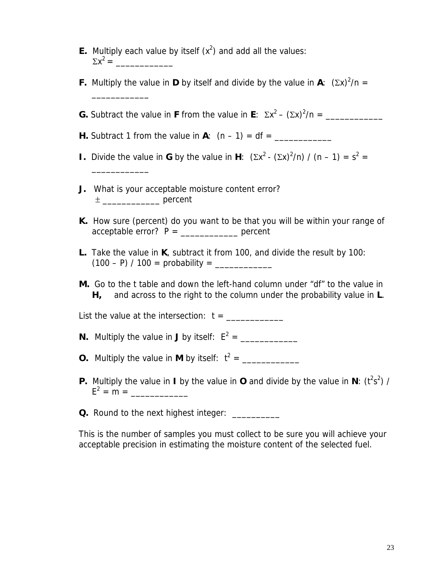| <b>E.</b> Multiply each value by itself $(x^2)$ and add all the values: |  |
|-------------------------------------------------------------------------|--|
| $\Sigma x^2 =$                                                          |  |

**F.** Multiply the value in **D** by itself and divide by the value in **A**:  $(\Sigma x)^2/n =$ \_\_\_\_\_\_\_\_\_\_\_\_ **G.** Subtract the value in **F** from the value in **E**:  $\Sigma x^2 - (\Sigma x)^2/n =$  \_\_\_\_\_\_\_\_\_\_\_\_ **H.** Subtract 1 from the value in  $A$ :  $(n - 1) = df =$ **I.** Divide the value in **G** by the value in **H**:  $(\Sigma x^2 - (\Sigma x)^2/n) / (n - 1) = s^2 =$ \_\_\_\_\_\_\_\_\_\_\_\_ **J.** What is your acceptable moisture content error? ± \_\_\_\_\_\_\_\_\_\_\_\_ percent **K.** How sure (percent) do you want to be that you will be within your range of  $acceltable error? P = \n \underline{\hspace{2cm}} \quad percent$ **L.** Take the value in **K**, subtract it from 100, and divide the result by 100: (100 – P) / 100 = probability = \_\_\_\_\_\_\_\_\_\_\_\_ **M.** Go to the t table and down the left-hand column under "df" to the value in **H,** and across to the right to the column under the probability value in **L**. List the value at the intersection: t = \_\_\_\_\_\_\_\_\_\_\_\_ **N.** Multiply the value in **J** by itself:  $E^2 = \underline{\qquad \qquad \qquad \qquad }$ **O.** Multiply the value in **M** by itself:  $t^2 = \_ \_ \_ \_ \_ \_ \_ \_ \_ \_ \_ \_ \_ \_$ **P.** Multiply the value in **I** by the value in **O** and divide by the value in **N**:  $(t^2s^2)$  /  $E^2 = m =$ **Q.** Round to the next highest integer: \_\_\_\_\_\_\_\_\_\_\_

This is the number of samples you must collect to be sure you will achieve your acceptable precision in estimating the moisture content of the selected fuel.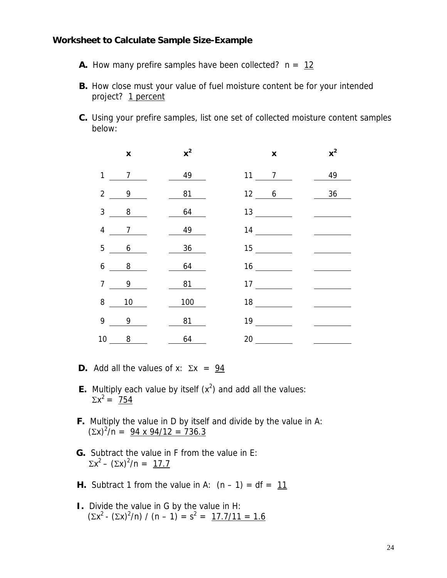#### **Worksheet to Calculate Sample Size-Example**

- **A.** How many prefire samples have been collected?  $n = 12$
- **B.** How close must your value of fuel moisture content be for your intended project? 1 percent
- **C.** Using your prefire samples, list one set of collected moisture content samples below:

|                | $\pmb{\mathsf{x}}$         | $x^2$    | $\pmb{\mathsf{x}}$            | $x^2$ |
|----------------|----------------------------|----------|-------------------------------|-------|
| $\mathbf{1}$   | $7\overline{ }$            | $49$ $-$ | $11 \qquad 7$                 | 49    |
| $\overline{2}$ | 9                          | 81       | 12 6                          | 36    |
| $\mathfrak{Z}$ | 8                          | 64       | $13 \underline{\hspace{1cm}}$ |       |
| $\overline{4}$ | $\overline{7}$             | 49       | $14 \underline{\hspace{1cm}}$ |       |
| 5              | 6                          | 36       |                               |       |
| 6              | $\overline{\phantom{0}}$ 8 | 64       | 16                            |       |
| $\overline{7}$ | 9                          | 81       | $17 \underline{\hspace{1cm}}$ |       |
| 8              | $10$                       | 100      |                               |       |
| 9              | 9                          | 81       | $19 \quad \underline{\qquad}$ |       |
|                | $10 \qquad 8$              | 64       | 20                            |       |

- **D.** Add all the values of x:  $\Sigma x = 94$
- **E.** Multiply each value by itself  $(x^2)$  and add all the values:  $\Sigma x^2 = 754$ 
	- **F.** Multiply the value in D by itself and divide by the value in A:  $(\Sigma x)^2/n = 94 \times 94/12 = 736.3$
- **G.** Subtract the value in F from the value in E:  $\Sigma x^2 - (\Sigma x)^2/n = 17.7$ 
	- **H.** Subtract 1 from the value in A:  $(n 1) = df = 11$
- **I.** Divide the value in G by the value in H:  $(\Sigma x^2 - (\Sigma x)^2/n) / (n-1) = s^2 = 17.7/11 = 1.6$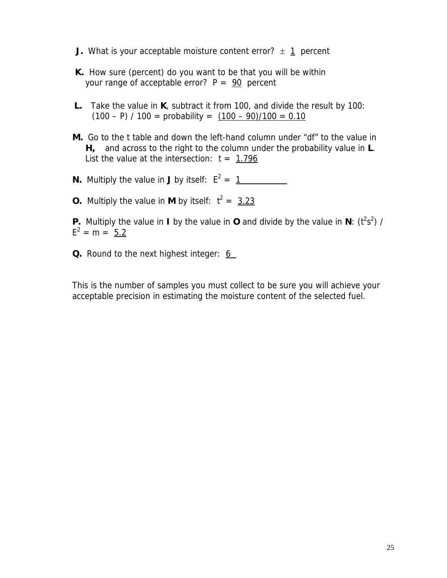- **J.** What is your acceptable moisture content error?  $\pm$  1 percent
- **K.** How sure (percent) do you want to be that you will be within your range of acceptable error?  $P = 90$  percent
- **L.** Take the value in **K**, subtract it from 100, and divide the result by 100:  $(100 - P) / 100 =$  probability =  $(100 - 90)/100 = 0.10$
- **M.** Go to the t table and down the left-hand column under "df" to the value in **H,** and across to the right to the column under the probability value in **L**. List the value at the intersection:  $t = 1.796$
- **N.** Multiply the value in **J** by itself:  $E^2 = 1$
- **O.** Multiply the value in **M** by itself:  $t^2 = 3.23$

**P.** Multiply the value in **I** by the value in **O** and divide by the value in  $N$ : ( $t^2s^2$ ) /  $E^2 = m = 5.2$ 

**Q.** Round to the next highest integer: 6

This is the number of samples you must collect to be sure you will achieve your acceptable precision in estimating the moisture content of the selected fuel.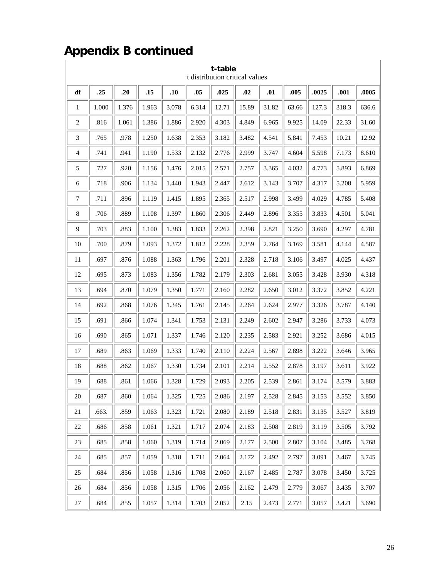# **Appendix B continued**

| t-table<br>t distribution critical values |       |       |       |       |       |       |       |       |       |       |       |       |
|-------------------------------------------|-------|-------|-------|-------|-------|-------|-------|-------|-------|-------|-------|-------|
| df                                        | .25   | .20   | .15   | .10   | .05   | .025  | .02   | .01   | .005  | .0025 | .001  | .0005 |
| 1                                         | 1.000 | 1.376 | 1.963 | 3.078 | 6.314 | 12.71 | 15.89 | 31.82 | 63.66 | 127.3 | 318.3 | 636.6 |
| $\overline{2}$                            | .816  | 1.061 | 1.386 | 1.886 | 2.920 | 4.303 | 4.849 | 6.965 | 9.925 | 14.09 | 22.33 | 31.60 |
| 3                                         | .765  | .978  | 1.250 | 1.638 | 2.353 | 3.182 | 3.482 | 4.541 | 5.841 | 7.453 | 10.21 | 12.92 |
| 4                                         | .741  | .941  | 1.190 | 1.533 | 2.132 | 2.776 | 2.999 | 3.747 | 4.604 | 5.598 | 7.173 | 8.610 |
| 5                                         | .727  | .920  | 1.156 | 1.476 | 2.015 | 2.571 | 2.757 | 3.365 | 4.032 | 4.773 | 5.893 | 6.869 |
| 6                                         | .718  | .906  | 1.134 | 1.440 | 1.943 | 2.447 | 2.612 | 3.143 | 3.707 | 4.317 | 5.208 | 5.959 |
| 7                                         | .711  | .896  | 1.119 | 1.415 | 1.895 | 2.365 | 2.517 | 2.998 | 3.499 | 4.029 | 4.785 | 5.408 |
| 8                                         | .706  | .889  | 1.108 | 1.397 | 1.860 | 2.306 | 2.449 | 2.896 | 3.355 | 3.833 | 4.501 | 5.041 |
| 9                                         | .703  | .883  | 1.100 | 1.383 | 1.833 | 2.262 | 2.398 | 2.821 | 3.250 | 3.690 | 4.297 | 4.781 |
| 10                                        | .700  | .879  | 1.093 | 1.372 | 1.812 | 2.228 | 2.359 | 2.764 | 3.169 | 3.581 | 4.144 | 4.587 |
| 11                                        | .697  | .876  | 1.088 | 1.363 | 1.796 | 2.201 | 2.328 | 2.718 | 3.106 | 3.497 | 4.025 | 4.437 |
| 12                                        | .695  | .873  | 1.083 | 1.356 | 1.782 | 2.179 | 2.303 | 2.681 | 3.055 | 3.428 | 3.930 | 4.318 |
| 13                                        | .694  | .870  | 1.079 | 1.350 | 1.771 | 2.160 | 2.282 | 2.650 | 3.012 | 3.372 | 3.852 | 4.221 |
| 14                                        | .692  | .868  | 1.076 | 1.345 | 1.761 | 2.145 | 2.264 | 2.624 | 2.977 | 3.326 | 3.787 | 4.140 |
| 15                                        | .691  | .866  | 1.074 | 1.341 | 1.753 | 2.131 | 2.249 | 2.602 | 2.947 | 3.286 | 3.733 | 4.073 |
| 16                                        | .690  | .865  | 1.071 | 1.337 | 1.746 | 2.120 | 2.235 | 2.583 | 2.921 | 3.252 | 3.686 | 4.015 |
| 17                                        | .689  | .863  | 1.069 | 1.333 | 1.740 | 2.110 | 2.224 | 2.567 | 2.898 | 3.222 | 3.646 | 3.965 |
| 18                                        | .688  | .862  | 1.067 | 1.330 | 1.734 | 2.101 | 2.214 | 2.552 | 2.878 | 3.197 | 3.611 | 3.922 |
| 19                                        | .688  | .861  | 1.066 | 1.328 | 1.729 | 2.093 | 2.205 | 2.539 | 2.861 | 3.174 | 3.579 | 3.883 |
| $20\,$                                    | .687  | .860  | 1.064 | 1.325 | 1.725 | 2.086 | 2.197 | 2.528 | 2.845 | 3.153 | 3.552 | 3.850 |
| 21                                        | .663. | .859  | 1.063 | 1.323 | 1.721 | 2.080 | 2.189 | 2.518 | 2.831 | 3.135 | 3.527 | 3.819 |
| $22\,$                                    | .686  | .858  | 1.061 | 1.321 | 1.717 | 2.074 | 2.183 | 2.508 | 2.819 | 3.119 | 3.505 | 3.792 |
| $23\,$                                    | .685  | .858  | 1.060 | 1.319 | 1.714 | 2.069 | 2.177 | 2.500 | 2.807 | 3.104 | 3.485 | 3.768 |
| 24                                        | .685  | .857  | 1.059 | 1.318 | 1.711 | 2.064 | 2.172 | 2.492 | 2.797 | 3.091 | 3.467 | 3.745 |
| 25                                        | .684  | .856  | 1.058 | 1.316 | 1.708 | 2.060 | 2.167 | 2.485 | 2.787 | 3.078 | 3.450 | 3.725 |
| 26                                        | .684  | .856  | 1.058 | 1.315 | 1.706 | 2.056 | 2.162 | 2.479 | 2.779 | 3.067 | 3.435 | 3.707 |
| $27\,$                                    | .684  | .855  | 1.057 | 1.314 | 1.703 | 2.052 | 2.15  | 2.473 | 2.771 | 3.057 | 3.421 | 3.690 |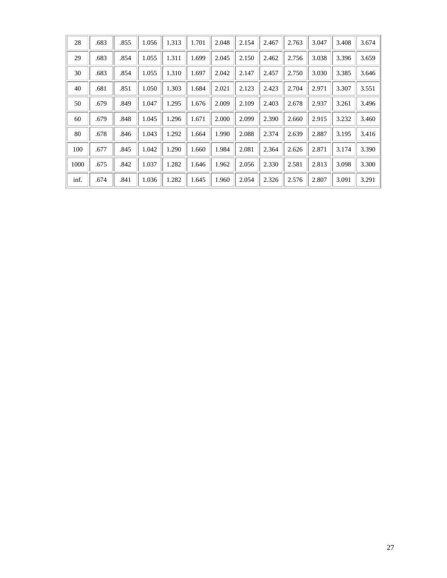| 28   | .683 | .855 | 1.056 | 1.313 | 1.701 | 2.048 | 2.154 | 2.467 | 2.763 | 3.047 | 3.408 | 3.674 |
|------|------|------|-------|-------|-------|-------|-------|-------|-------|-------|-------|-------|
| 29   | .683 | .854 | 1.055 | 1.311 | 1.699 | 2.045 | 2.150 | 2.462 | 2.756 | 3.038 | 3.396 | 3.659 |
| 30   | .683 | .854 | 1.055 | 1.310 | 1.697 | 2.042 | 2.147 | 2.457 | 2.750 | 3.030 | 3.385 | 3.646 |
| 40   | .681 | .851 | 1.050 | 1.303 | 1.684 | 2.021 | 2.123 | 2.423 | 2.704 | 2.971 | 3.307 | 3.551 |
| 50   | .679 | .849 | 1.047 | 1.295 | 1.676 | 2.009 | 2.109 | 2.403 | 2.678 | 2.937 | 3.261 | 3.496 |
| 60   | .679 | .848 | 1.045 | 1.296 | 1.671 | 2.000 | 2.099 | 2.390 | 2.660 | 2.915 | 3.232 | 3.460 |
| 80   | .678 | .846 | 1.043 | 1.292 | 1.664 | 1.990 | 2.088 | 2.374 | 2.639 | 2.887 | 3.195 | 3.416 |
| 100  | .677 | .845 | 1.042 | 1.290 | 1.660 | 1.984 | 2.081 | 2.364 | 2.626 | 2.871 | 3.174 | 3.390 |
| 1000 | .675 | .842 | 1.037 | 1.282 | 1.646 | 1.962 | 2.056 | 2.330 | 2.581 | 2.813 | 3.098 | 3.300 |
| inf. | .674 | .841 | 1.036 | 1.282 | 1.645 | 1.960 | 2.054 | 2.326 | 2.576 | 2.807 | 3.091 | 3.291 |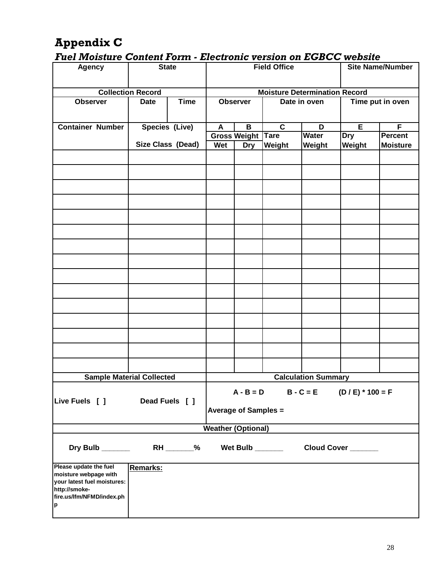# **Appendix C**

### *Fuel Moisture Content Form - Electronic version on EGBCC website*

| .<br><b>Agency</b>                                                                                                                |                          | <b>State</b>             |                                                                             | <b>Field Office</b><br><b>Site Name/Number</b> |                  |              |                    |                  |  |  |  |
|-----------------------------------------------------------------------------------------------------------------------------------|--------------------------|--------------------------|-----------------------------------------------------------------------------|------------------------------------------------|------------------|--------------|--------------------|------------------|--|--|--|
|                                                                                                                                   | <b>Collection Record</b> |                          |                                                                             | <b>Moisture Determination Record</b>           |                  |              |                    |                  |  |  |  |
| <b>Observer</b>                                                                                                                   | <b>Date</b>              | <b>Time</b>              |                                                                             | <b>Observer</b>                                |                  | Date in oven |                    | Time put in oven |  |  |  |
| <b>Container Number</b>                                                                                                           |                          | Species (Live)           | A                                                                           | B                                              | $\overline{c}$   | D            | $\overline{E}$     | F                |  |  |  |
|                                                                                                                                   |                          |                          |                                                                             | <b>Gross Weight Tare</b>                       |                  | <b>Water</b> | <b>Dry</b>         | <b>Percent</b>   |  |  |  |
|                                                                                                                                   |                          | <b>Size Class (Dead)</b> | Wet                                                                         | <b>Dry</b>                                     | Weight           | Weight       | Weight             | <b>Moisture</b>  |  |  |  |
|                                                                                                                                   |                          |                          |                                                                             |                                                |                  |              |                    |                  |  |  |  |
|                                                                                                                                   |                          |                          |                                                                             |                                                |                  |              |                    |                  |  |  |  |
|                                                                                                                                   |                          |                          |                                                                             |                                                |                  |              |                    |                  |  |  |  |
|                                                                                                                                   |                          |                          |                                                                             |                                                |                  |              |                    |                  |  |  |  |
|                                                                                                                                   |                          |                          |                                                                             |                                                |                  |              |                    |                  |  |  |  |
|                                                                                                                                   |                          |                          |                                                                             |                                                |                  |              |                    |                  |  |  |  |
|                                                                                                                                   |                          |                          |                                                                             |                                                |                  |              |                    |                  |  |  |  |
|                                                                                                                                   |                          |                          |                                                                             |                                                |                  |              |                    |                  |  |  |  |
|                                                                                                                                   |                          |                          |                                                                             |                                                |                  |              |                    |                  |  |  |  |
|                                                                                                                                   |                          |                          |                                                                             |                                                |                  |              |                    |                  |  |  |  |
|                                                                                                                                   |                          |                          |                                                                             |                                                |                  |              |                    |                  |  |  |  |
|                                                                                                                                   |                          |                          |                                                                             |                                                |                  |              |                    |                  |  |  |  |
|                                                                                                                                   |                          |                          |                                                                             |                                                |                  |              |                    |                  |  |  |  |
|                                                                                                                                   |                          |                          |                                                                             |                                                |                  |              |                    |                  |  |  |  |
| <b>Sample Material Collected</b>                                                                                                  |                          |                          | <b>Calculation Summary</b>                                                  |                                                |                  |              |                    |                  |  |  |  |
| Live Fuels [ ]                                                                                                                    |                          | Dead Fuels [ ]           | $B - C = E$ (D / E) * 100 = F<br>$A - B = D$<br><b>Average of Samples =</b> |                                                |                  |              |                    |                  |  |  |  |
|                                                                                                                                   |                          |                          | <b>Weather (Optional)</b>                                                   |                                                |                  |              |                    |                  |  |  |  |
|                                                                                                                                   |                          |                          |                                                                             |                                                |                  |              |                    |                  |  |  |  |
| Dry Bulb                                                                                                                          |                          | $RH$ ________%           |                                                                             |                                                | Wet Bulb _______ |              | Cloud Cover ______ |                  |  |  |  |
| Please update the fuel<br>moisture webpage with<br>your latest fuel moistures:<br>http://smoke-<br>fire.us/lfm/NFMD/index.ph<br>p | Remarks:                 |                          |                                                                             |                                                |                  |              |                    |                  |  |  |  |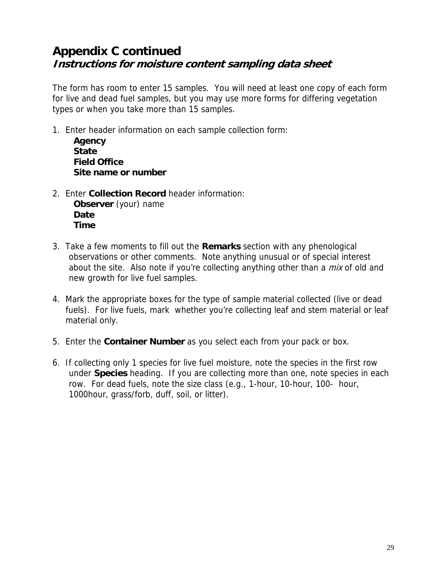## **Appendix C continued Instructions for moisture content sampling data sheet**

The form has room to enter 15 samples. You will need at least one copy of each form for live and dead fuel samples, but you may use more forms for differing vegetation types or when you take more than 15 samples.

1. Enter header information on each sample collection form:

**Agency State Field Office Site name or number**

2. Enter **Collection Record** header information:

**Observer** (your) name **Date Time**

- 3. Take a few moments to fill out the **Remarks** section with any phenological observations or other comments. Note anything unusual or of special interest about the site. Also note if you're collecting anything other than a *mix* of old and new growth for live fuel samples.
- 4. Mark the appropriate boxes for the type of sample material collected (live or dead fuels). For live fuels, mark whether you're collecting leaf and stem material or leaf material only.
- 5. Enter the **Container Number** as you select each from your pack or box.
- 6. If collecting only 1 species for live fuel moisture, note the species in the first row under **Species** heading. If you are collecting more than one, note species in each row. For dead fuels, note the size class (e.g., 1-hour, 10-hour, 100- hour, 1000hour, grass/forb, duff, soil, or litter).